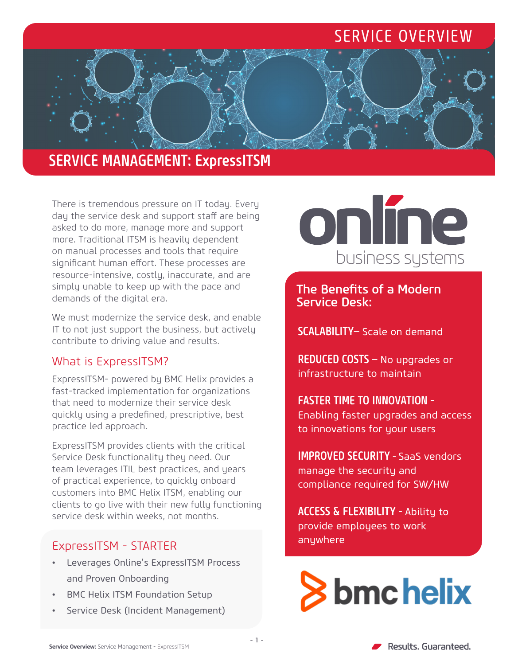## SERVICE OVERVIEW

### SERVICE MANAGEMENT: ExpressITSM

There is tremendous pressure on IT today. Every day the service desk and support staff are being asked to do more, manage more and support more. Traditional ITSM is heavily dependent on manual processes and tools that require significant human effort. These processes are resource-intensive, costly, inaccurate, and are simply unable to keep up with the pace and demands of the digital era.

We must modernize the service desk, and enable IT to not just support the business, but actively contribute to driving value and results.

#### What is ExpressITSM?

ExpressITSM- powered by BMC Helix provides a fast-tracked implementation for organizations that need to modernize their service desk quickly using a predefined, prescriptive, best practice led approach.

ExpressITSM provides clients with the critical Service Desk functionality they need. Our team leverages ITIL best practices, and years of practical experience, to quickly onboard customers into BMC Helix ITSM, enabling our clients to go live with their new fully functioning service desk within weeks, not months.

## anywhere ExpressITSM - STARTER

- Leverages Online's ExpressITSM Process and Proven Onboarding
- BMC Helix ITSM Foundation Setup
- Service Desk (Incident Management)

## online business systems

The Benefits of a Modern Service Desk:

SCALABILITY– Scale on demand

REDUCED COSTS – No upgrades or infrastructure to maintain

#### FASTER TIME TO INNOVATION -

Enabling faster upgrades and access to innovations for your users

IMPROVED SECURITY - SaaS vendors manage the security and compliance required for SW/HW

ACCESS & FLEXIBILITY - Ability to provide employees to work

# **S** bmc helix